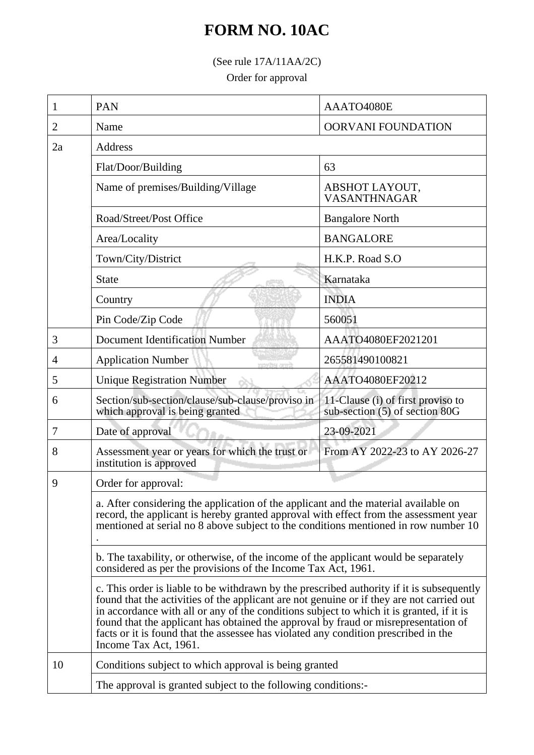## **FORM NO. 10AC**

(See rule 17A/11AA/2C)

Order for approval

| 1  | <b>PAN</b>                                                                                                                                                                                                                                                                                                                                                                                                                                                                                | AAATO4080E                                                          |  |
|----|-------------------------------------------------------------------------------------------------------------------------------------------------------------------------------------------------------------------------------------------------------------------------------------------------------------------------------------------------------------------------------------------------------------------------------------------------------------------------------------------|---------------------------------------------------------------------|--|
| 2  | Name                                                                                                                                                                                                                                                                                                                                                                                                                                                                                      | <b>OORVANI FOUNDATION</b>                                           |  |
| 2a | <b>Address</b>                                                                                                                                                                                                                                                                                                                                                                                                                                                                            |                                                                     |  |
|    | Flat/Door/Building                                                                                                                                                                                                                                                                                                                                                                                                                                                                        | 63                                                                  |  |
|    | Name of premises/Building/Village                                                                                                                                                                                                                                                                                                                                                                                                                                                         | ABSHOT LAYOUT,<br><b>VASANTHNAGAR</b>                               |  |
|    | Road/Street/Post Office                                                                                                                                                                                                                                                                                                                                                                                                                                                                   | <b>Bangalore North</b>                                              |  |
|    | Area/Locality                                                                                                                                                                                                                                                                                                                                                                                                                                                                             | <b>BANGALORE</b>                                                    |  |
|    | Town/City/District                                                                                                                                                                                                                                                                                                                                                                                                                                                                        | H.K.P. Road S.O                                                     |  |
|    | <b>State</b>                                                                                                                                                                                                                                                                                                                                                                                                                                                                              | Karnataka                                                           |  |
|    | Country                                                                                                                                                                                                                                                                                                                                                                                                                                                                                   | <b>INDIA</b>                                                        |  |
|    | Pin Code/Zip Code                                                                                                                                                                                                                                                                                                                                                                                                                                                                         | 560051                                                              |  |
| 3  | <b>Document Identification Number</b>                                                                                                                                                                                                                                                                                                                                                                                                                                                     | AAATO4080EF2021201                                                  |  |
| 4  | <b>Application Number</b><br>men lerforen                                                                                                                                                                                                                                                                                                                                                                                                                                                 | 265581490100821                                                     |  |
| 5  | <b>Unique Registration Number</b>                                                                                                                                                                                                                                                                                                                                                                                                                                                         | AAATO4080EF20212                                                    |  |
| 6  | Section/sub-section/clause/sub-clause/proviso in<br>which approval is being granted                                                                                                                                                                                                                                                                                                                                                                                                       | 11-Clause (i) of first proviso to<br>sub-section (5) of section 80G |  |
| 7  | Date of approval                                                                                                                                                                                                                                                                                                                                                                                                                                                                          | 23-09-2021                                                          |  |
| 8  | Assessment year or years for which the trust or<br>institution is approved                                                                                                                                                                                                                                                                                                                                                                                                                | From AY 2022-23 to AY 2026-27                                       |  |
| 9  | Order for approval:                                                                                                                                                                                                                                                                                                                                                                                                                                                                       |                                                                     |  |
|    | a. After considering the application of the applicant and the material available on<br>record, the applicant is hereby granted approval with effect from the assessment year<br>mentioned at serial no 8 above subject to the conditions mentioned in row number 10                                                                                                                                                                                                                       |                                                                     |  |
|    | b. The taxability, or otherwise, of the income of the applicant would be separately<br>considered as per the provisions of the Income Tax Act, 1961.                                                                                                                                                                                                                                                                                                                                      |                                                                     |  |
|    | c. This order is liable to be withdrawn by the prescribed authority if it is subsequently<br>found that the activities of the applicant are not genuine or if they are not carried out<br>in accordance with all or any of the conditions subject to which it is granted, if it is<br>found that the applicant has obtained the approval by fraud or misrepresentation of<br>facts or it is found that the assessee has violated any condition prescribed in the<br>Income Tax Act, 1961. |                                                                     |  |
| 10 | Conditions subject to which approval is being granted                                                                                                                                                                                                                                                                                                                                                                                                                                     |                                                                     |  |
|    | The approval is granted subject to the following conditions:-                                                                                                                                                                                                                                                                                                                                                                                                                             |                                                                     |  |